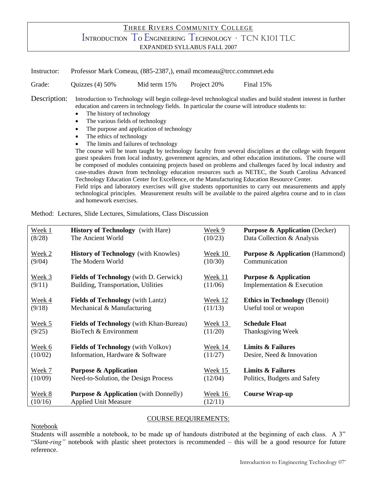## THREE RIVERS COMMUNITY COLLEGE INTRODUCTION T<sup>O</sup> ENGINEERING TECHNOLOGY <sup>∙</sup> TCN K101 TLC EXPANDED SYLLABUS FALL 2007

Instructor: Professor Mark Comeau, (885-2387,), email mcomeau@trcc.commnet.edu Grade: Quizzes (4) 50% Mid term 15% Project 20% Final 15% Description: Introduction to Technology will begin college-level technological studies and build student interest in further education and careers in technology fields. In particular the course will introduce students to: The history of technology • The various fields of technology The purpose and application of technology • The ethics of technology The limits and failures of technology

The course will be team taught by technology faculty from several disciplines at the college with frequent guest speakers from local industry, government agencies, and other education institutions. The course will be composed of modules containing projects based on problems and challenges faced by local industry and case-studies drawn from technology education resources such as NETEC, the South Carolina Advanced Technology Education Center for Excellence, or the Manufacturing Education Resource Center. Field trips and laboratory exercises will give students opportunities to carry out measurements and apply technological principles. Measurement results will be available to the paired algebra course and to in class

Method: Lectures, Slide Lectures, Simulations, Class Discussion

and homework exercises.

| Week 1  | <b>History of Technology</b> (with Hare)         | Week 9         | <b>Purpose &amp; Application (Decker)</b>  |
|---------|--------------------------------------------------|----------------|--------------------------------------------|
| (8/28)  | The Ancient World                                | (10/23)        | Data Collection & Analysis                 |
| Week 2  | <b>History of Technology</b> (with Knowles)      | Week 10        | <b>Purpose &amp; Application</b> (Hammond) |
| (9/04)  | The Modern World                                 | (10/30)        | Communication                              |
| Week 3  | <b>Fields of Technology</b> (with D. Gerwick)    | Week 11        | <b>Purpose &amp; Application</b>           |
| (9/11)  | Building, Transportation, Utilities              | (11/06)        | Implementation & Execution                 |
| Week 4  | <b>Fields of Technology</b> (with Lantz)         | <u>Week 12</u> | <b>Ethics in Technology (Benoit)</b>       |
| (9/18)  | Mechanical & Manufacturing                       | (11/13)        | Useful tool or weapon                      |
| Week 5  | <b>Fields of Technology</b> (with Khan-Bureau)   | Week 13        | <b>Schedule Float</b>                      |
| (9/25)  | BioTech & Environment                            | (11/20)        | Thanksgiving Week                          |
| Week 6  | <b>Fields of Technology</b> (with Volkov)        | Week 14        | Limits & Failures                          |
| (10/02) | Information, Hardware & Software                 | (11/27)        | Desire, Need & Innovation                  |
| Week 7  | <b>Purpose &amp; Application</b>                 | Week 15        | <b>Limits &amp; Failures</b>               |
| (10/09) | Need-to-Solution, the Design Process             | (12/04)        | Politics, Budgets and Safety               |
| Week 8  | <b>Purpose &amp; Application</b> (with Donnelly) | Week 16        | <b>Course Wrap-up</b>                      |
| (10/16) | <b>Applied Unit Measure</b>                      | (12/11)        |                                            |

## COURSE REQUIREMENTS:

Notebook

Students will assemble a notebook, to be made up of handouts distributed at the beginning of each class. A 3" "*Slant-ring"* notebook with plastic sheet protectors is recommended – this will be a good resource for future reference.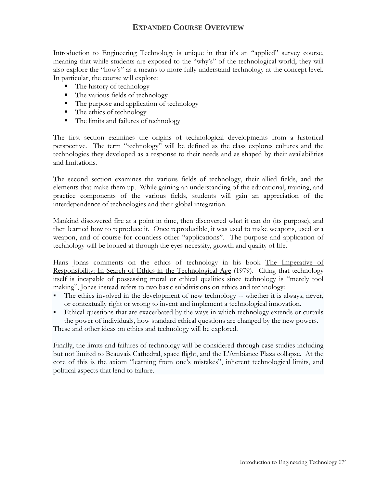## **EXPANDED COURSE OVERVIEW**

Introduction to Engineering Technology is unique in that it's an "applied" survey course, meaning that while students are exposed to the "why's" of the technological world, they will also explore the "how's" as a means to more fully understand technology at the concept level. In particular, the course will explore:

- The history of technology
- The various fields of technology
- The purpose and application of technology
- $\blacksquare$  The ethics of technology
- The limits and failures of technology

The first section examines the origins of technological developments from a historical perspective. The term "technology" will be defined as the class explores cultures and the technologies they developed as a response to their needs and as shaped by their availabilities and limitations.

The second section examines the various fields of technology, their allied fields, and the elements that make them up. While gaining an understanding of the educational, training, and practice components of the various fields, students will gain an appreciation of the interdependence of technologies and their global integration.

Mankind discovered fire at a point in time, then discovered what it can do (its purpose), and then learned how to reproduce it. Once reproducible, it was used to make weapons, used *as* a weapon, and of course for countless other "applications". The purpose and application of technology will be looked at through the eyes necessity, growth and quality of life.

Hans Jonas comments on the ethics of technology in his book The Imperative of Responsibility: In Search of Ethics in the Technological Age (1979). Citing that technology itself is incapable of possessing moral or ethical qualities since technology is "merely tool making", Jonas instead refers to two basic subdivisions on ethics and technology:

- The ethics involved in the development of new technology -- whether it is always, never, or contextually right or wrong to invent and implement a technological innovation.
- Ethical questions that are exacerbated by the ways in which technology extends or curtails the power of individuals, how standard ethical questions are changed by the new powers.

These and other ideas on ethics and technology will be explored.

Finally, the limits and failures of technology will be considered through case studies including but not limited to Beauvais Cathedral, space flight, and the L'Ambiance Plaza collapse. At the core of this is the axiom "learning from one's mistakes", inherent technological limits, and political aspects that lend to failure.